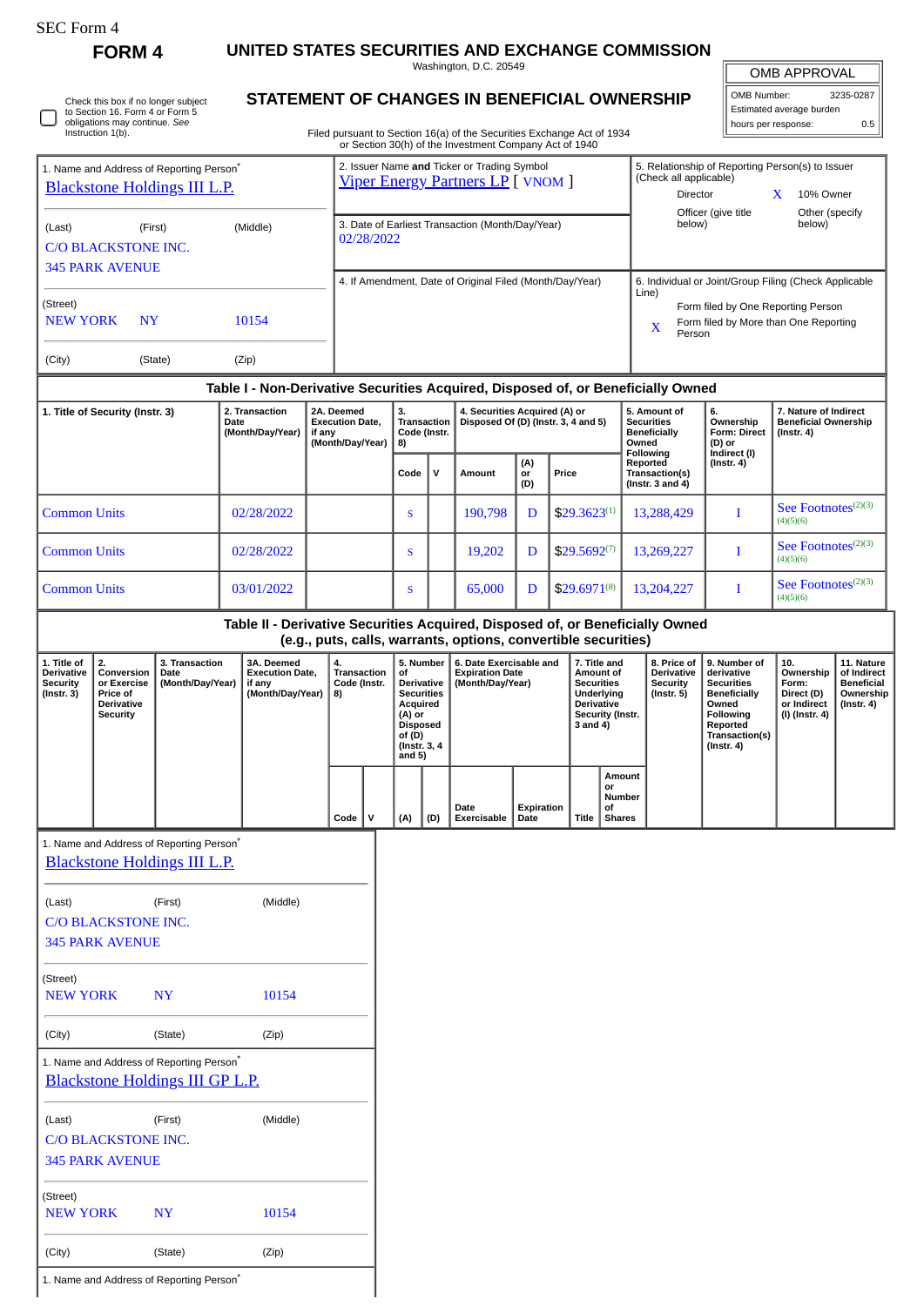| SEC Form |  |
|----------|--|
|----------|--|

1. Name and Address of Reporting Person<sup>\*</sup>

**FORM 4 UNITED STATES SECURITIES AND EXCHANGE COMMISSION**

Washington, D.C. 20549

|                                                                                             |                                                                                                         |                                                                                             |                                                                                  |                                                          |                                                                                                                                                   |                                         |                                                                                                                                     |                                                                      | Washington, D.C. 20549                                                 |                    |                  |                                                                                                                          |                                                                                                                                               |                                                             |                                                                                                                                                | OMB APPROVAL                                                             |                                                                           |
|---------------------------------------------------------------------------------------------|---------------------------------------------------------------------------------------------------------|---------------------------------------------------------------------------------------------|----------------------------------------------------------------------------------|----------------------------------------------------------|---------------------------------------------------------------------------------------------------------------------------------------------------|-----------------------------------------|-------------------------------------------------------------------------------------------------------------------------------------|----------------------------------------------------------------------|------------------------------------------------------------------------|--------------------|------------------|--------------------------------------------------------------------------------------------------------------------------|-----------------------------------------------------------------------------------------------------------------------------------------------|-------------------------------------------------------------|------------------------------------------------------------------------------------------------------------------------------------------------|--------------------------------------------------------------------------|---------------------------------------------------------------------------|
|                                                                                             | Check this box if no longer subject<br>to Section 16. Form 4 or Form 5<br>obligations may continue. See |                                                                                             |                                                                                  |                                                          |                                                                                                                                                   |                                         |                                                                                                                                     |                                                                      | STATEMENT OF CHANGES IN BENEFICIAL OWNERSHIP                           |                    |                  |                                                                                                                          |                                                                                                                                               |                                                             | OMB Number:                                                                                                                                    | Estimated average burden                                                 | 3235-0287                                                                 |
|                                                                                             | Instruction 1(b).                                                                                       |                                                                                             |                                                                                  |                                                          |                                                                                                                                                   |                                         |                                                                                                                                     |                                                                      | Filed pursuant to Section 16(a) of the Securities Exchange Act of 1934 |                    |                  |                                                                                                                          |                                                                                                                                               |                                                             |                                                                                                                                                | hours per response:                                                      | 0.5                                                                       |
| 1. Name and Address of Reporting Person <sup>®</sup><br><b>Blackstone Holdings III L.P.</b> |                                                                                                         |                                                                                             |                                                                                  |                                                          | or Section 30(h) of the Investment Company Act of 1940<br>2. Issuer Name and Ticker or Trading Symbol<br><b>Viper Energy Partners LP</b> [ VNOM ] |                                         |                                                                                                                                     |                                                                      |                                                                        |                    |                  |                                                                                                                          | 5. Relationship of Reporting Person(s) to Issuer<br>(Check all applicable)<br><b>Director</b><br>$\mathbf{X}$<br>10% Owner                    |                                                             |                                                                                                                                                |                                                                          |                                                                           |
| (Middle)<br>(Last)<br>(First)<br>C/O BLACKSTONE INC.<br><b>345 PARK AVENUE</b>              |                                                                                                         |                                                                                             |                                                                                  |                                                          | 3. Date of Earliest Transaction (Month/Day/Year)<br>02/28/2022                                                                                    |                                         |                                                                                                                                     |                                                                      |                                                                        |                    |                  |                                                                                                                          | Officer (give title<br>Other (specify<br>below)<br>below)                                                                                     |                                                             |                                                                                                                                                |                                                                          |                                                                           |
| (Street)<br><b>NEW YORK</b><br>10154<br>N <sub>Y</sub>                                      |                                                                                                         |                                                                                             |                                                                                  |                                                          | 4. If Amendment, Date of Original Filed (Month/Day/Year)                                                                                          |                                         |                                                                                                                                     |                                                                      |                                                                        |                    |                  |                                                                                                                          | 6. Individual or Joint/Group Filing (Check Applicable<br>Line)<br>Form filed by One Reporting Person<br>Form filed by More than One Reporting |                                                             |                                                                                                                                                |                                                                          |                                                                           |
| (City)                                                                                      |                                                                                                         | (State)                                                                                     | (Zip)                                                                            |                                                          |                                                                                                                                                   |                                         |                                                                                                                                     |                                                                      |                                                                        |                    |                  |                                                                                                                          |                                                                                                                                               | X<br>Person                                                 |                                                                                                                                                |                                                                          |                                                                           |
|                                                                                             |                                                                                                         |                                                                                             | Table I - Non-Derivative Securities Acquired, Disposed of, or Beneficially Owned |                                                          |                                                                                                                                                   |                                         |                                                                                                                                     |                                                                      |                                                                        |                    |                  |                                                                                                                          |                                                                                                                                               |                                                             |                                                                                                                                                |                                                                          |                                                                           |
| 2. Transaction<br>1. Title of Security (Instr. 3)<br>Date<br>(Month/Day/Year)               |                                                                                                         |                                                                                             | if any                                                                           | 2A. Deemed<br><b>Execution Date,</b><br>(Month/Day/Year) |                                                                                                                                                   | 3.<br>Transaction<br>Code (Instr.<br>8) |                                                                                                                                     | 4. Securities Acquired (A) or<br>Disposed Of (D) (Instr. 3, 4 and 5) |                                                                        |                    |                  | 5. Amount of<br><b>Securities</b><br><b>Beneficially</b><br>Owned<br>Following                                           |                                                                                                                                               | 6.<br>Ownership<br>Form: Direct<br>$(D)$ or<br>Indirect (I) | 7. Nature of Indirect<br><b>Beneficial Ownership</b><br>$($ Instr. 4 $)$                                                                       |                                                                          |                                                                           |
|                                                                                             |                                                                                                         |                                                                                             |                                                                                  |                                                          |                                                                                                                                                   |                                         | Code                                                                                                                                | $\mathsf{v}$                                                         | Amount                                                                 | (A)<br>or<br>(D)   | Price            |                                                                                                                          | Reported<br>Transaction(s)<br>(Instr. $3$ and $4$ )                                                                                           |                                                             | $($ Instr. 4 $)$                                                                                                                               |                                                                          |                                                                           |
|                                                                                             | <b>Common Units</b>                                                                                     |                                                                                             | 02/28/2022                                                                       |                                                          |                                                                                                                                                   | S                                       |                                                                                                                                     | 190,798                                                              | D                                                                      |                    | $$29.3623^{(1)}$ | 13,288,429                                                                                                               |                                                                                                                                               | 1                                                           | See Footnotes <sup>(2)(3)</sup><br>(4)(5)(6)                                                                                                   |                                                                          |                                                                           |
| <b>Common Units</b>                                                                         |                                                                                                         |                                                                                             | 02/28/2022                                                                       |                                                          |                                                                                                                                                   |                                         |                                                                                                                                     |                                                                      | 19,202                                                                 | D                  |                  | $$29.5692^{(7)}$                                                                                                         |                                                                                                                                               | 13,269,227                                                  | 1                                                                                                                                              | See Footnotes <sup>(2)(3)</sup><br>(4)(5)(6)                             |                                                                           |
| <b>Common Units</b><br>03/01/2022                                                           |                                                                                                         |                                                                                             |                                                                                  |                                                          |                                                                                                                                                   | S                                       |                                                                                                                                     | 65,000                                                               | D                                                                      |                    | $$29.6971^{(8)}$ |                                                                                                                          | 13,204,227                                                                                                                                    | 1                                                           | See Footnotes <sup>(2)(3)</sup><br>(4)(5)(6)                                                                                                   |                                                                          |                                                                           |
|                                                                                             |                                                                                                         |                                                                                             | Table II - Derivative Securities Acquired, Disposed of, or Beneficially Owned    |                                                          |                                                                                                                                                   |                                         |                                                                                                                                     |                                                                      | (e.g., puts, calls, warrants, options, convertible securities)         |                    |                  |                                                                                                                          |                                                                                                                                               |                                                             |                                                                                                                                                |                                                                          |                                                                           |
| 1. Title of<br><b>Derivative</b><br><b>Security</b><br>$($ Instr. 3 $)$                     | 2.<br>Conversion<br>or Exercise<br>Price of<br><b>Derivative</b><br><b>Security</b>                     | 3. Transaction<br>Date<br>(Month/Day/Year)                                                  | 3A. Deemed<br><b>Execution Date.</b><br>if any<br>(Month/Day/Year)               |                                                          | 4.<br><b>Transaction</b><br>Code (Instr.<br>8)                                                                                                    |                                         | 5. Number<br>of<br>Derivative<br><b>Securities</b><br>Acquired<br>$(A)$ or<br><b>Disposed</b><br>of (D)<br>(Instr. 3, 4<br>and $5)$ |                                                                      | 6. Date Exercisable and<br><b>Expiration Date</b><br>(Month/Day/Year)  |                    |                  | 7. Title and<br>Amount of<br><b>Securities</b><br><b>Underlving</b><br><b>Derivative</b><br>Security (Instr.<br>3 and 4) | <b>Security</b><br>$($ Instr. 5 $)$                                                                                                           | 8. Price of<br><b>Derivative</b>                            | 9. Number of<br>derivative<br><b>Securities</b><br><b>Beneficially</b><br>Owned<br>Following<br>Reported<br>Transaction(s)<br>$($ Instr. 4 $)$ | 10.<br>Ownership<br>Form:<br>Direct (D)<br>or Indirect<br>(I) (Instr. 4) | 11. Nature<br>of Indirect<br><b>Beneficial</b><br>Ownership<br>(Instr. 4) |
|                                                                                             |                                                                                                         |                                                                                             |                                                                                  |                                                          | Code $ V $                                                                                                                                        |                                         | (A)                                                                                                                                 | (D)                                                                  | Date<br>Exercisable                                                    | Expiration<br>Date |                  | or<br>of<br>Title<br><b>Shares</b>                                                                                       | Amount<br>Number                                                                                                                              |                                                             |                                                                                                                                                |                                                                          |                                                                           |
|                                                                                             |                                                                                                         | 1. Name and Address of Reporting Person <sup>*</sup><br><b>Blackstone Holdings III L.P.</b> |                                                                                  |                                                          |                                                                                                                                                   |                                         |                                                                                                                                     |                                                                      |                                                                        |                    |                  |                                                                                                                          |                                                                                                                                               |                                                             |                                                                                                                                                |                                                                          |                                                                           |
| (Last)                                                                                      |                                                                                                         | (First)                                                                                     | (Middle)                                                                         |                                                          |                                                                                                                                                   |                                         |                                                                                                                                     |                                                                      |                                                                        |                    |                  |                                                                                                                          |                                                                                                                                               |                                                             |                                                                                                                                                |                                                                          |                                                                           |
|                                                                                             | C/O BLACKSTONE INC.<br><b>345 PARK AVENUE</b>                                                           |                                                                                             |                                                                                  |                                                          |                                                                                                                                                   |                                         |                                                                                                                                     |                                                                      |                                                                        |                    |                  |                                                                                                                          |                                                                                                                                               |                                                             |                                                                                                                                                |                                                                          |                                                                           |
| (Street)<br><b>NEW YORK</b>                                                                 |                                                                                                         | <b>NY</b>                                                                                   | 10154                                                                            |                                                          |                                                                                                                                                   |                                         |                                                                                                                                     |                                                                      |                                                                        |                    |                  |                                                                                                                          |                                                                                                                                               |                                                             |                                                                                                                                                |                                                                          |                                                                           |
| (City)                                                                                      |                                                                                                         | (State)                                                                                     | (Zip)                                                                            |                                                          |                                                                                                                                                   |                                         |                                                                                                                                     |                                                                      |                                                                        |                    |                  |                                                                                                                          |                                                                                                                                               |                                                             |                                                                                                                                                |                                                                          |                                                                           |
|                                                                                             |                                                                                                         | 1. Name and Address of Reporting Person*<br><b>Blackstone Holdings III GP L.P.</b>          |                                                                                  |                                                          |                                                                                                                                                   |                                         |                                                                                                                                     |                                                                      |                                                                        |                    |                  |                                                                                                                          |                                                                                                                                               |                                                             |                                                                                                                                                |                                                                          |                                                                           |
| (Last)                                                                                      | <b>C/O BLACKSTONE INC.</b><br><b>345 PARK AVENUE</b>                                                    | (First)                                                                                     | (Middle)                                                                         |                                                          |                                                                                                                                                   |                                         |                                                                                                                                     |                                                                      |                                                                        |                    |                  |                                                                                                                          |                                                                                                                                               |                                                             |                                                                                                                                                |                                                                          |                                                                           |
| (Street)<br><b>NEW YORK</b>                                                                 |                                                                                                         | <b>NY</b>                                                                                   | 10154                                                                            |                                                          |                                                                                                                                                   |                                         |                                                                                                                                     |                                                                      |                                                                        |                    |                  |                                                                                                                          |                                                                                                                                               |                                                             |                                                                                                                                                |                                                                          |                                                                           |
| (City)                                                                                      |                                                                                                         | (State)                                                                                     | (Zip)                                                                            |                                                          |                                                                                                                                                   |                                         |                                                                                                                                     |                                                                      |                                                                        |                    |                  |                                                                                                                          |                                                                                                                                               |                                                             |                                                                                                                                                |                                                                          |                                                                           |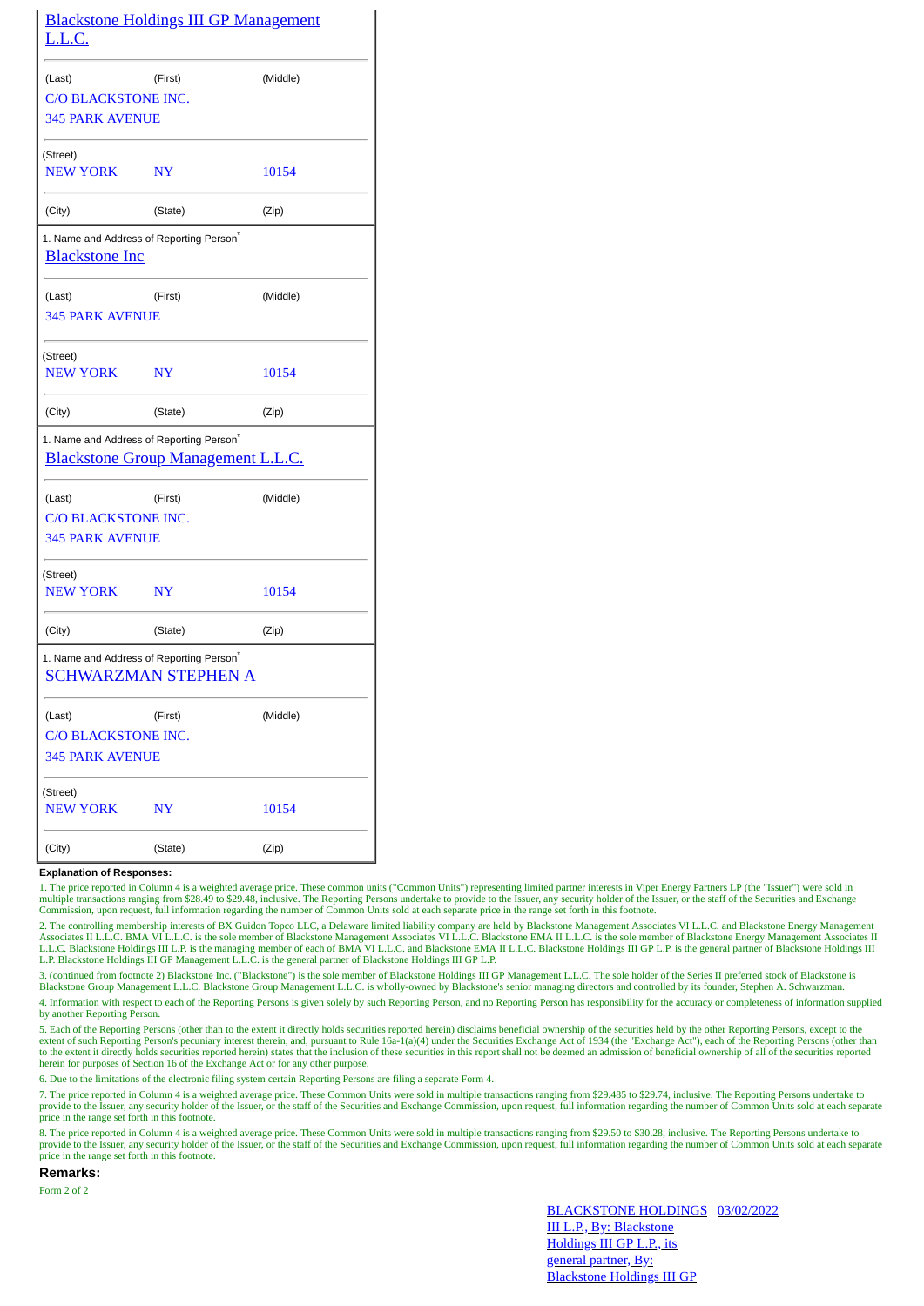| <u>L.L.C.</u>                                 | <b>Blackstone Holdings III GP Management</b>                                                      |          |
|-----------------------------------------------|---------------------------------------------------------------------------------------------------|----------|
| (Last)                                        | (First)                                                                                           | (Middle) |
| C/O BLACKSTONE INC.<br><b>345 PARK AVENUE</b> |                                                                                                   |          |
| (Street)<br><b>NEW YORK</b>                   | NY                                                                                                | 10154    |
| (City)                                        | (State)                                                                                           | (Zip)    |
| <b>Blackstone Inc</b>                         | 1. Name and Address of Reporting Person <sup>*</sup>                                              |          |
| (Last)                                        | (First)                                                                                           | (Middle) |
| <b>345 PARK AVENUE</b>                        |                                                                                                   |          |
| (Street)                                      |                                                                                                   |          |
| <b>NEW YORK</b>                               | $N\mathbf{Y}$                                                                                     | 10154    |
| (City)                                        | (State)                                                                                           | (Zip)    |
|                                               | 1. Name and Address of Reporting Person <sup>*</sup><br><b>Blackstone Group Management L.L.C.</b> |          |
| (Last)                                        | (First)                                                                                           | (Middle) |
| C/O BLACKSTONE INC.                           |                                                                                                   |          |
| <b>345 PARK AVENUE</b>                        |                                                                                                   |          |
| (Street)<br><b>NEW YORK</b>                   | NY                                                                                                | 10154    |
| (City)                                        | (State)                                                                                           | (Zip)    |
|                                               | 1. Name and Address of Reporting Person <sup>*</sup><br>SCHWARZMAN STEPHEN A                      |          |
| (Last)                                        | (First)                                                                                           | (Middle) |
| C/O BLACKSTONE INC.                           |                                                                                                   |          |
| <b>345 PARK AVENUE</b>                        |                                                                                                   |          |
| (Street)<br>NEW YORK                          | NY                                                                                                | 10154    |
| (City)                                        | (State)                                                                                           | (Zip)    |

## **Explanation of Responses:**

1. The price reported in Column 4 is a weighted average price. These common units ("Common Units") representing limited partner interests in Viper Energy Partners LP (the "Issuer") were sold in multiple transactions ranging from \$28.49 to \$29.48, inclusive. The Reporting Persons undertake to provide to the Issuer, any security holder of the Issuer, or the staff of the Securities and Exchange<br>Commission, upon requ

2. The controlling membership interests of BX Guidon Topco LLC, a Delaware limited liability company are held by Blackstone Management Associates VI L.L.C. and Blackstone Energy Management<br>Associates II L.L.C. BMA VI L.L.C L.L.C. Blackstone Holdings III L.P. is the managing member of each of BMA VI L.L.C. and Blackstone EMA II L.L.C. Blackstone Holdings III GP L.P. is the general partner of Blackstone Holdings III L.P. Blackstone Holdings III GP Management L.L.C. is the general partner of Blackstone Holdings III GP L.P.

3. (continued from footnote 2) Blackstone Inc. ("Blackstone") is the sole member of Blackstone Holdings III GP Management L.L.C. The sole holder of the Series II preferred stock of Blackstone is Blackstone Group Management L.L.C. Blackstone Group Management L.L.C. is wholly-owned by Blackstone's senior managing directors and controlled by its founder, Stephen A. Schwarzman. 4. Information with respect to each of the Reporting Persons is given solely by such Reporting Person, and no Reporting Person has responsibility for the accuracy or completeness of information supplied by another Reporting Person.

5. Each of the Reporting Persons (other than to the extent it directly holds securities reported herein) disclaims beneficial ownership of the securities held by the other Reporting Persons, except to the extent of such Reporting Person's pecuniary interest therein, and, pursuant to Rule 16a-1(a)(4) under the Securities Exchange Act of 1934 (the "Exchange Act"), each of the Reporting Persons (other than the Reporting Person to the extent it directly holds securities reported herein) states that the inclusion of these securities in this report shall not be deemed an admission of beneficial ownership of all of the securities reported herein for purposes of Section 16 of the Exchange Act or for any other purpose.

6. Due to the limitations of the electronic filing system certain Reporting Persons are filing a separate Form 4.

7. The price reported in Column 4 is a weighted average price. These Common Units were sold in multiple transactions ranging from \$29.485 to \$29.74, inclusive. The Reporting Persons undertake to provide to the Issuer, any security holder of the Issuer, or the staff of the Securities and Exchange Commission, upon request, full information regarding the number of Common Units sold at each separate price in the range set forth in this footnote.

8. The price reported in Column 4 is a weighted average price. These Common Units were sold in multiple transactions ranging from \$29.50 to \$30.28, inclusive. The Reporting Persons undertake to provide to the Issuer, any security holder of the Issuer, or the staff of the Securities and Exchange Commission, upon request, full information regarding the number of Common Units sold at each separate price in the range set forth in this footnote.

## **Remarks:**

Form 2 of 2

BLACKSTONE HOLDINGS 03/02/2022III L.P., By: Blackstone Holdings III GP L.P., its general partner, By: Blackstone Holdings III GP